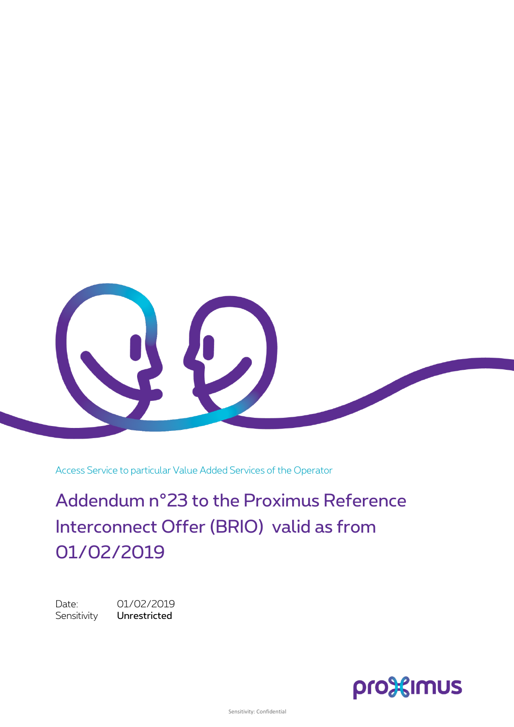

Access Service to particular Value Added Services of the Operator

Addendum n°23 to the Proximus Reference Interconnect Offer (BRIO) valid as from 01/02/2019

Date: 01/02/2019 Sensitivity Unrestricted

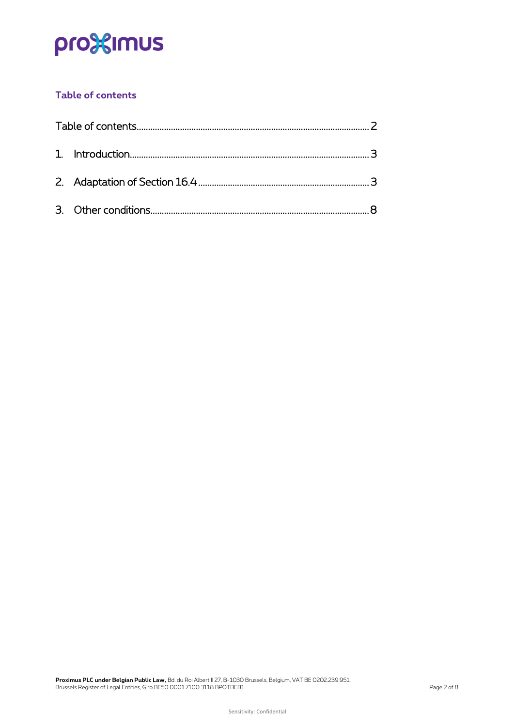# pro<sup>32</sup>imus

## <span id="page-1-0"></span>**Table of contents**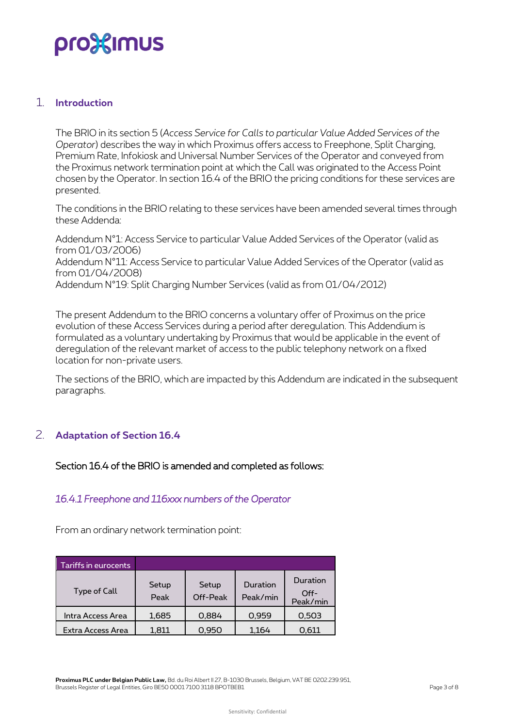# pro3<sup>2</sup> mus

#### <span id="page-2-0"></span>1. **Introduction**

The BRIO in its section 5 (*Access Service for Calls to particular Value Added Services of the Operator*) describes the way in which Proximus offers access to Freephone, Split Charging, Premium Rate, Infokiosk and Universal Number Services of the Operator and conveyed from the Proximus network termination point at which the Call was originated to the Access Point chosen by the Operator. In section 16.4 of the BRIO the pricing conditions for these services are presented.

The conditions in the BRIO relating to these services have been amended several times through these Addenda:

Addendum N°1: Access Service to particular Value Added Services of the Operator (valid as from 01/03/2006) Addendum N°11: Access Service to particular Value Added Services of the Operator (valid as from 01/04/2008) Addendum N°19: Split Charging Number Services (valid as from 01/04/2012)

The present Addendum to the BRIO concerns a voluntary offer of Proximus on the price evolution of these Access Services during a period after deregulation. This Addendium is formulated as a voluntary undertaking by Proximus that would be applicable in the event of deregulation of the relevant market of access to the public telephony network on a fIxed location for non-private users.

<span id="page-2-1"></span>The sections of the BRIO, which are impacted by this Addendum are indicated in the subsequent paragraphs.

## 2. **Adaptation of Section 16.4**

#### Section 16.4 of the BRIO is amended and completed as follows:

#### *16.4.1 Freephone and 116xxx numbers of the Operator*

From an ordinary network termination point:

| Tariffs in eurocents |               |                   |                      |                                |
|----------------------|---------------|-------------------|----------------------|--------------------------------|
| Type of Call         | Setup<br>Peak | Setup<br>Off-Peak | Duration<br>Peak/min | Duration<br>$Off-$<br>Peak/min |
| Intra Access Area    | 1,685         | 0,884             | 0,959                | 0,503                          |
| Extra Access Area    | 1.811         | 0.950             | 1.164                | 0.611                          |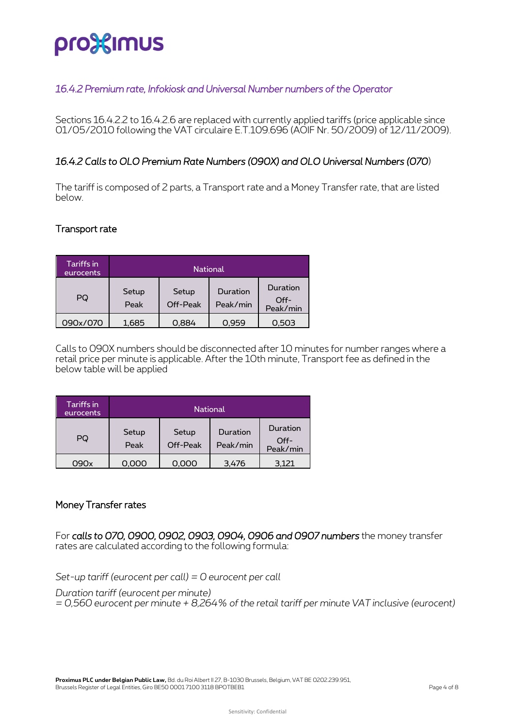# pro%imus

## *16.4.2 Premium rate, Infokiosk and Universal Number numbers of the Operator*

Sections 16.4.2.2 to 16.4.2.6 are replaced with currently applied tariffs (price applicable since 01/05/2010 following the VAT circulaire E.T.109.696 (AOIF Nr. 50/2009) of 12/11/2009).

### *16.4.2 Calls to OLO Premium Rate Numbers (090X) and OLO Universal Numbers (070*)

The tariff is composed of 2 parts, a Transport rate and a Money Transfer rate, that are listed below.

#### Transport rate

| Tariffs in<br>eurocents | National      |                   |                      |                                |  |  |
|-------------------------|---------------|-------------------|----------------------|--------------------------------|--|--|
| PQ                      | Setup<br>Peak | Setup<br>Off-Peak | Duration<br>Peak/min | Duration<br>$Off-$<br>Peak/min |  |  |
| 090x/070                | 1,685         | 0.884             | 0,959                | 0,503                          |  |  |

Calls to 090X numbers should be disconnected after 10 minutes for number ranges where a retail price per minute is applicable. After the 10th minute, Transport fee as defined in the below table will be applied

| Tariffs in<br>eurocents | <b>National</b> |                   |                      |                              |  |  |
|-------------------------|-----------------|-------------------|----------------------|------------------------------|--|--|
| PQ                      | Setup<br>Peak   | Setup<br>Off-Peak | Duration<br>Peak/min | Duration<br>Off-<br>Peak/min |  |  |
| 090x                    | 0.000           | 0.000             | 3.476                | 3.121                        |  |  |

#### Money Transfer rates

For *calls to 070, 0900, 0902, 0903, 0904, 0906 and 0907 numbers* the money transfer rates are calculated according to the following formula:

*Set-up tariff (eurocent per call) = 0 eurocent per call*

*Duration tariff (eurocent per minute) = 0,560 eurocent per minute + 8,264% of the retail tariff per minute VAT inclusive (eurocent)*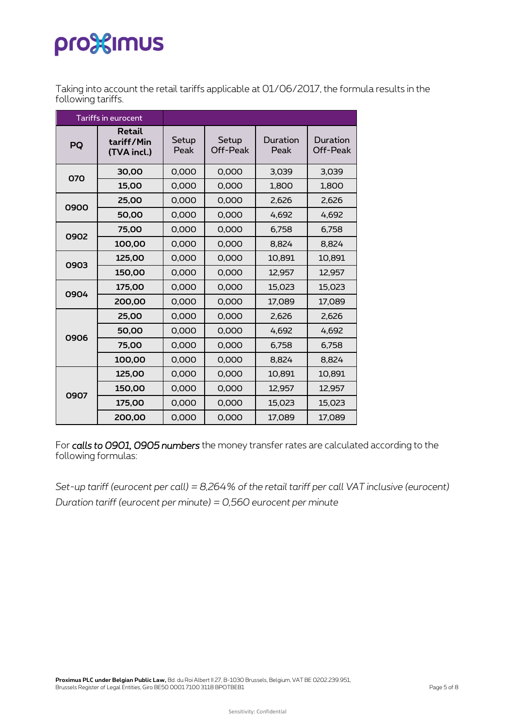# pro<sup>32</sup>imus

Taking into account the retail tariffs applicable at 01/06/2017, the formula results in the following tariffs.

|      | Tariffs in eurocent                 |       |                   |                  |                      |
|------|-------------------------------------|-------|-------------------|------------------|----------------------|
| PQ   | Retail<br>tariff/Min<br>(TVA incl.) |       | Setup<br>Off-Peak | Duration<br>Peak | Duration<br>Off-Peak |
| 070  | 30,00                               | 0,000 | 0,000             | 3,039            | 3,039                |
|      | 15,00                               | 0,000 | 0,000             | 1,800            | 1,800                |
| 0900 | 25,00                               | 0,000 | 0,000             | 2,626            | 2,626                |
|      | 50,00                               | 0,000 | 0,000             | 4,692            | 4,692                |
| 0902 | 75,00                               | 0,000 | 0,000             | 6,758            | 6,758                |
|      | 100,00                              | 0,000 | 0,000             | 8.824            | 8.824                |
| 0903 | 125,00                              | 0,000 | 0,000             | 10,891           | 10,891               |
|      | 150,00                              | 0,000 | 0,000             | 12,957           | 12,957               |
| 0904 | 175,00                              | 0,000 | 0,000             | 15,023           | 15,023               |
|      | 200,00                              | 0,000 | 0,000             | 17,089           | 17,089               |
|      | 25,00                               | 0,000 | 0,000             | 2,626            | 2,626                |
| 0906 | 50,00                               | 0,000 | 0,000             | 4,692            | 4,692                |
|      | 75,00                               | 0,000 | 0,000             | 6,758            | 6,758                |
|      | 100,00                              | 0,000 | 0,000             | 8.824            | 8.824                |
|      | 125,00                              | 0,000 | 0,000             | 10,891           | 10,891               |
| 0907 | 150,00                              | 0,000 | 0,000             | 12,957           | 12,957               |
|      | 175,00                              | 0,000 | 0,000             | 15,023           | 15,023               |
|      | 200,00                              | 0,000 | 0,000             | 17,089           | 17,089               |

For *calls to 0901, 0905 numbers* the money transfer rates are calculated according to the following formulas:

*Set-up tariff (eurocent per call) = 8,264% of the retail tariff per call VAT inclusive (eurocent) Duration tariff (eurocent per minute) = 0,560 eurocent per minute*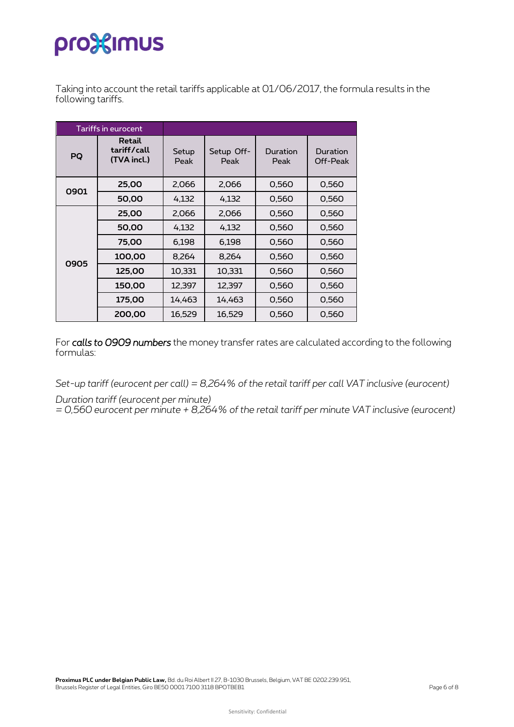# pro<sup>3</sup> sumus

Taking into account the retail tariffs applicable at 01/06/2017, the formula results in the following tariffs.

| Tariffs in eurocent |                                      |        |                    |                  |                      |
|---------------------|--------------------------------------|--------|--------------------|------------------|----------------------|
| PQ                  | Retail<br>tariff/call<br>(TVA incl.) |        | Setup Off-<br>Peak | Duration<br>Peak | Duration<br>Off-Peak |
| 0901                | 25,00                                | 2,066  | 2,066              | 0,560            | 0,560                |
|                     | 50,00                                | 4,132  | 4,132              | 0,560            | 0,560                |
|                     | 25,00                                | 2,066  | 2,066              | 0,560            | 0,560                |
|                     | 50,00                                | 4,132  | 4,132              | 0,560            | 0,560                |
|                     | 75,00                                | 6,198  | 6.198              | 0,560            | 0,560                |
| 0905                | 100,00                               | 8,264  | 8,264              | 0,560            | 0,560                |
|                     | 125,00                               | 10,331 | 10,331             | 0,560            | 0,560                |
|                     | 150,00                               | 12,397 | 12,397             | 0,560            | 0,560                |
|                     | 175,00                               | 14,463 | 14.463             | 0,560            | 0,560                |
|                     | 200,00                               | 16,529 | 16,529             | 0,560            | 0,560                |

For *calls to 0909 numbers* the money transfer rates are calculated according to the following formulas:

*Set-up tariff (eurocent per call) = 8,264% of the retail tariff per call VAT inclusive (eurocent)*

*Duration tariff (eurocent per minute)* 

*= 0,560 eurocent per minute + 8,264% of the retail tariff per minute VAT inclusive (eurocent)*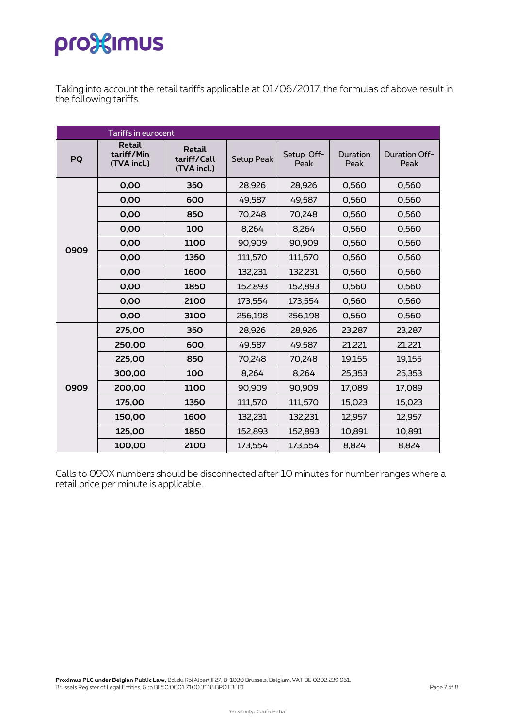# pro<sup>32</sup>imus

Taking into account the retail tariffs applicable at 01/06/2017, the formulas of above result in the following tariffs.

| Tariffs in eurocent |                                     |                                      |                   |                    |                  |                       |  |
|---------------------|-------------------------------------|--------------------------------------|-------------------|--------------------|------------------|-----------------------|--|
| PQ                  | Retail<br>tariff/Min<br>(TVA incl.) | Retail<br>tariff/Call<br>(TVA incl.) | <b>Setup Peak</b> | Setup Off-<br>Peak | Duration<br>Peak | Duration Off-<br>Peak |  |
|                     | 0,00                                | 350                                  | 28,926            | 28,926             | 0,560            | 0,560                 |  |
|                     | 0,00                                | 600                                  | 49,587            | 49,587             | 0,560            | 0,560                 |  |
|                     | 0,00                                | 850                                  | 70,248            | 70,248             | 0,560            | 0,560                 |  |
|                     | 0,00                                | 100                                  | 8,264             | 8,264              | 0,560            | 0,560                 |  |
| 0909                | 0,00                                | 1100                                 | 90,909            | 90,909             | 0,560            | 0,560                 |  |
|                     | 0,00                                | 1350                                 | 111,570           | 111,570            | 0,560            | 0,560                 |  |
|                     | 0,00                                | 1600                                 | 132,231           | 132,231            | 0,560            | 0,560                 |  |
|                     | 0,00                                | 1850                                 | 152,893           | 152,893            | 0,560            | 0,560                 |  |
|                     | 0,00                                | 2100                                 | 173,554           | 173,554            | 0,560            | 0,560                 |  |
|                     | 0,00                                | 3100                                 | 256,198           | 256,198            | 0,560            | 0,560                 |  |
|                     | 275,00                              | 350                                  | 28,926            | 28,926             | 23,287           | 23,287                |  |
|                     | 250,00                              | 600                                  | 49,587            | 49,587             | 21,221           | 21,221                |  |
|                     | 225,00                              | 850                                  | 70,248            | 70,248             | 19,155           | 19,155                |  |
|                     | 300,00                              | 100                                  | 8,264             | 8,264              | 25,353           | 25,353                |  |
| 0909                | 200,00                              | 1100                                 | 90,909            | 90,909             | 17,089           | 17,089                |  |
|                     | 175,00                              | 1350                                 | 111,570           | 111,570            | 15,023           | 15,023                |  |
|                     | 150,00                              | 1600                                 | 132,231           | 132,231            | 12,957           | 12,957                |  |
|                     | 125,00                              | 1850                                 | 152,893           | 152,893            | 10,891           | 10,891                |  |
|                     | 100,00                              | 2100                                 | 173,554           | 173,554            | 8,824            | 8,824                 |  |

Calls to 090X numbers should be disconnected after 10 minutes for number ranges where a retail price per minute is applicable.